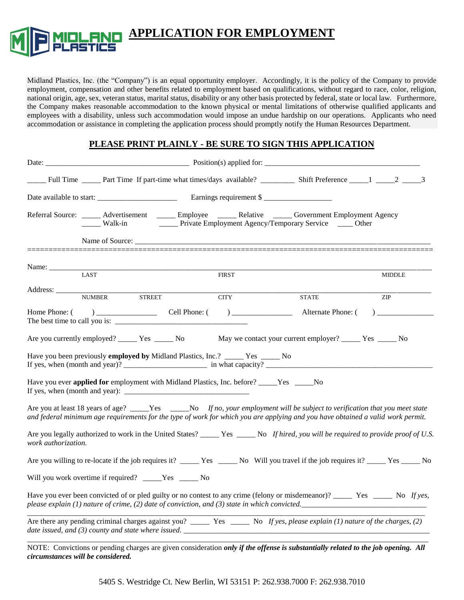

**APPLICATION FOR EMPLOYMENT**

Midland Plastics, Inc. (the "Company") is an equal opportunity employer. Accordingly, it is the policy of the Company to provide employment, compensation and other benefits related to employment based on qualifications, without regard to race, color, religion, national origin, age, sex, veteran status, marital status, disability or any other basis protected by federal, state or local law. Furthermore, the Company makes reasonable accommodation to the known physical or mental limitations of otherwise qualified applicants and employees with a disability, unless such accommodation would impose an undue hardship on our operations. Applicants who need accommodation or assistance in completing the application process should promptly notify the Human Resources Department.

#### **PLEASE PRINT PLAINLY - BE SURE TO SIGN THIS APPLICATION**

|                                                                                                  | $\frac{1}{2}$ Walk-in |              | Referral Source: ______ Advertisement ______ Employee ______ Relative _____ Government Employment Agency<br>_____ Private Employment Agency/Temporary Service _____ Other                                                                                        |                                       |
|--------------------------------------------------------------------------------------------------|-----------------------|--------------|------------------------------------------------------------------------------------------------------------------------------------------------------------------------------------------------------------------------------------------------------------------|---------------------------------------|
|                                                                                                  |                       |              |                                                                                                                                                                                                                                                                  |                                       |
| Name: $\frac{1}{\sqrt{1-\frac{1}{2}}\cdot\frac{1}{\sqrt{1-\frac{1}{2}}}}$                        |                       |              |                                                                                                                                                                                                                                                                  |                                       |
| LAST                                                                                             |                       | <b>FIRST</b> |                                                                                                                                                                                                                                                                  | <b>MIDDLE</b>                         |
| Address:<br><b>NUMBER</b>                                                                        | <b>STREET</b>         | <b>CITY</b>  | <b>STATE</b>                                                                                                                                                                                                                                                     | ZIP                                   |
|                                                                                                  |                       |              | Alternate Phone: (                                                                                                                                                                                                                                               | $\begin{array}{c} \hline \end{array}$ |
| Are you currently employed? ________ Yes _______ No                                              |                       |              | May we contact your current employer? ______ Yes _____ No                                                                                                                                                                                                        |                                       |
| Have you been previously <b>employed by</b> Midland Plastics, Inc.? _____ Yes _____ No           |                       |              | If yes, when $(\text{month} \text{ and } \text{year})$ ? $\qquad \qquad \text{in} \text{ what capacity}$ ?                                                                                                                                                       |                                       |
| Have you ever <b>applied for</b> employment with Midland Plastics, Inc. before? _____Yes _____No |                       |              |                                                                                                                                                                                                                                                                  |                                       |
|                                                                                                  |                       |              | Are you at least 18 years of age? _____Yes _____No If no, your employment will be subject to verification that you meet state<br>and federal minimum age requirements for the type of work for which you are applying and you have obtained a valid work permit. |                                       |
| work authorization.                                                                              |                       |              | Are you legally authorized to work in the United States? _____ Yes _____ No If hired, you will be required to provide proof of U.S.                                                                                                                              |                                       |
|                                                                                                  |                       |              |                                                                                                                                                                                                                                                                  |                                       |
| Will you work overtime if required? _____Yes ______ No                                           |                       |              |                                                                                                                                                                                                                                                                  |                                       |
|                                                                                                  |                       |              | please explain (1) nature of crime, (2) date of conviction, and (3) state in which convicted.                                                                                                                                                                    |                                       |
|                                                                                                  |                       |              | Are there any pending criminal charges against you? $\frac{1}{\sqrt{2}}$ Yes $\frac{1}{\sqrt{2}}$ No If yes, please explain (1) nature of the charges, (2)<br>date issued, and $(3)$ county and state where issued.                                              |                                       |

NOTE: Convictions or pending charges are given consideration *only if the offense is substantially related to the job opening. All circumstances will be considered.* 

5405 S. Westridge Ct. New Berlin, WI 53151 P: 262.938.7000 F: 262.938.7010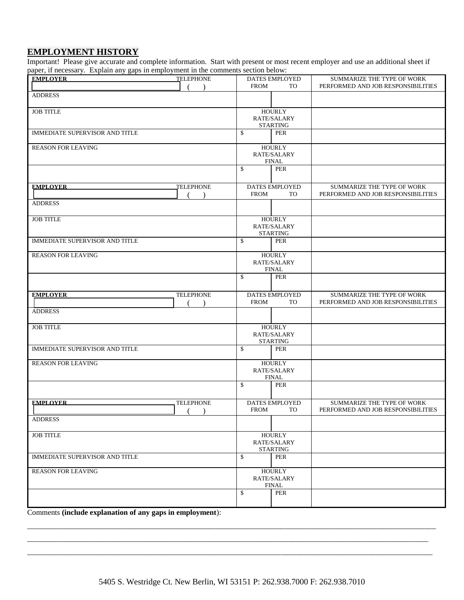## **EMPLOYMENT HISTORY**

Important! Please give accurate and complete information. Start with present or most recent employer and use an additional sheet if paper, if necessary. Explain any gaps in employment in the comments section below:

| DATES EMPLOYED<br><b>FROM</b><br><b>TO</b>      | SUMMARIZE THE TYPE OF WORK<br>PERFORMED AND JOB RESPONSIBILITIES |
|-------------------------------------------------|------------------------------------------------------------------|
|                                                 |                                                                  |
| <b>HOURLY</b><br>RATE/SALARY<br><b>STARTING</b> |                                                                  |
| \$<br>PER                                       |                                                                  |
| <b>HOURLY</b><br>RATE/SALARY<br><b>FINAL</b>    |                                                                  |
| \$<br>PER                                       |                                                                  |
| DATES EMPLOYED<br><b>FROM</b><br><b>TO</b>      | SUMMARIZE THE TYPE OF WORK<br>PERFORMED AND JOB RESPONSIBILITIES |
|                                                 |                                                                  |
| <b>HOURLY</b><br>RATE/SALARY<br><b>STARTING</b> |                                                                  |
| \$<br>PER                                       |                                                                  |
| <b>HOURLY</b><br>RATE/SALARY<br>FINAL           |                                                                  |
| \$<br>PER                                       |                                                                  |
| DATES EMPLOYED<br><b>FROM</b><br><b>TO</b>      | SUMMARIZE THE TYPE OF WORK<br>PERFORMED AND JOB RESPONSIBILITIES |
|                                                 |                                                                  |
| <b>HOURLY</b><br>RATE/SALARY                    |                                                                  |
| \$<br>PER                                       |                                                                  |
| <b>HOURLY</b><br>RATE/SALARY                    |                                                                  |
| \$<br>PER                                       |                                                                  |
| <b>DATES EMPLOYED</b><br>FROM<br><b>TO</b>      | SUMMARIZE THE TYPE OF WORK<br>PERFORMED AND JOB RESPONSIBILITIES |
|                                                 |                                                                  |
| <b>HOURLY</b><br>RATE/SALARY<br><b>STARTING</b> |                                                                  |
| \$<br>PER                                       |                                                                  |
| <b>HOURLY</b><br>RATE/SALARY<br><b>FINAL</b>    |                                                                  |
| \$<br><b>PER</b>                                |                                                                  |
|                                                 | <b>STARTING</b><br><b>FINAL</b>                                  |

Comments **(include explanation of any gaps in employment**):

\_\_\_\_\_\_\_\_\_\_\_\_\_\_\_\_\_\_\_\_\_\_\_\_\_\_\_\_\_\_\_\_\_\_\_\_\_\_\_\_\_\_\_\_\_\_\_\_\_\_\_\_\_\_\_\_\_\_\_\_\_\_\_\_\_\_\_\_\_\_\_\_\_\_\_\_\_\_\_\_\_\_\_\_\_\_\_\_\_\_\_\_\_\_\_\_\_\_\_\_\_\_\_\_\_\_\_\_ \_\_\_\_\_\_\_\_\_\_\_\_\_\_\_\_\_\_\_\_\_\_\_\_\_\_\_\_\_\_\_\_\_\_\_\_\_\_\_\_\_\_\_\_\_\_\_\_\_\_\_\_\_\_\_\_\_\_\_\_\_\_\_\_\_\_\_\_\_\_\_\_\_\_\_\_\_\_\_\_\_\_\_\_\_\_\_\_\_\_\_\_\_\_\_\_\_\_\_\_\_\_\_\_\_\_ \_\_\_\_\_\_\_\_\_\_\_\_\_\_\_\_\_\_\_\_\_\_\_\_\_\_\_\_\_\_\_\_\_\_\_\_\_\_\_\_\_\_\_\_\_\_\_\_\_\_\_\_\_\_\_\_\_\_\_\_\_\_\_\_\_\_\_\_\_\_\_\_\_\_\_\_\_\_\_\_\_\_\_\_\_\_\_\_\_\_\_\_\_\_\_\_\_\_\_\_\_\_\_\_\_\_\_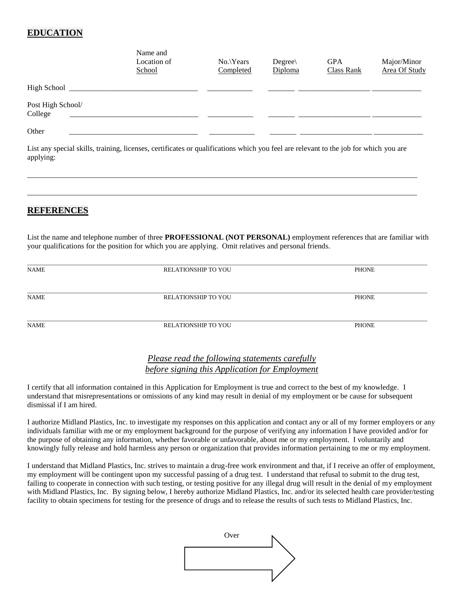### **EDUCATION**

|                              | Name and<br>Location of<br>School | $No.$ Years<br>Completed | $Degree\$<br>Diploma | <b>GPA</b><br><b>Class Rank</b> | Major/Minor<br>Area Of Study |
|------------------------------|-----------------------------------|--------------------------|----------------------|---------------------------------|------------------------------|
| High School _______          |                                   |                          |                      |                                 |                              |
| Post High School/<br>College |                                   |                          |                      |                                 |                              |
| Other                        |                                   |                          |                      |                                 |                              |

List any special skills, training, licenses, certificates or qualifications which you feel are relevant to the job for which you are applying:

\_\_\_\_\_\_\_\_\_\_\_\_\_\_\_\_\_\_\_\_\_\_\_\_\_\_\_\_\_\_\_\_\_\_\_\_\_\_\_\_\_\_\_\_\_\_\_\_\_\_\_\_\_\_\_\_\_\_\_\_\_\_\_\_\_\_\_\_\_\_\_\_\_\_\_\_\_\_\_\_\_\_\_\_\_\_\_\_\_\_\_\_\_\_\_\_\_\_\_\_\_\_\_

\_\_\_\_\_\_\_\_\_\_\_\_\_\_\_\_\_\_\_\_\_\_\_\_\_\_\_\_\_\_\_\_\_\_\_\_\_\_\_\_\_\_\_\_\_\_\_\_\_\_\_\_\_\_\_\_\_\_\_\_\_\_\_\_\_\_\_\_\_\_\_\_\_\_\_\_\_\_\_\_\_\_\_\_\_\_\_\_\_\_\_\_\_\_\_\_\_\_\_\_\_\_\_

#### **REFERENCES**

List the name and telephone number of three **PROFESSIONAL (NOT PERSONAL)** employment references that are familiar with your qualifications for the position for which you are applying.Omit relatives and personal friends.

| NAME        | <b>RELATIONSHIP TO YOU</b> | PHONE |  |
|-------------|----------------------------|-------|--|
| <b>NAME</b> | <b>RELATIONSHIP TO YOU</b> | PHONE |  |
| <b>NAME</b> | <b>RELATIONSHIP TO YOU</b> | PHONE |  |

#### *Please read the following statements carefully before signing this Application for Employment*

I certify that all information contained in this Application for Employment is true and correct to the best of my knowledge. I understand that misrepresentations or omissions of any kind may result in denial of my employment or be cause for subsequent dismissal if I am hired.

I authorize Midland Plastics, Inc. to investigate my responses on this application and contact any or all of my former employers or any individuals familiar with me or my employment background for the purpose of verifying any information I have provided and/or for the purpose of obtaining any information, whether favorable or unfavorable, about me or my employment. I voluntarily and knowingly fully release and hold harmless any person or organization that provides information pertaining to me or my employment.

I understand that Midland Plastics, Inc. strives to maintain a drug-free work environment and that, if I receive an offer of employment, my employment will be contingent upon my successful passing of a drug test. I understand that refusal to submit to the drug test, failing to cooperate in connection with such testing, or testing positive for any illegal drug will result in the denial of my employment with Midland Plastics, Inc. By signing below, I hereby authorize Midland Plastics, Inc. and/or its selected health care provider/testing facility to obtain specimens for testing for the presence of drugs and to release the results of such tests to Midland Plastics, Inc.

| Over |  |
|------|--|
|      |  |
|      |  |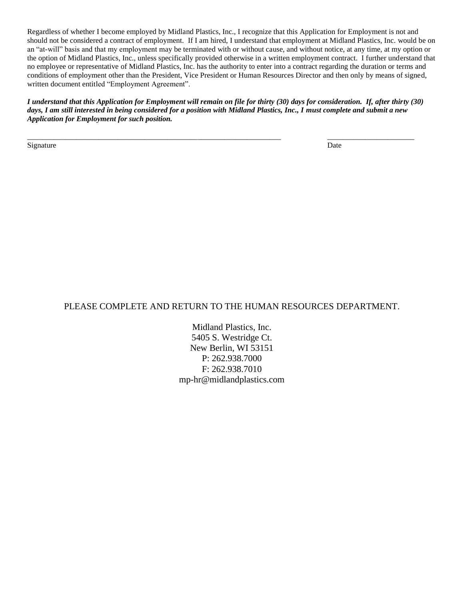Regardless of whether I become employed by Midland Plastics, Inc., I recognize that this Application for Employment is not and should not be considered a contract of employment. If I am hired, I understand that employment at Midland Plastics, Inc. would be on an "at-will" basis and that my employment may be terminated with or without cause, and without notice, at any time, at my option or the option of Midland Plastics, Inc., unless specifically provided otherwise in a written employment contract. I further understand that no employee or representative of Midland Plastics, Inc. has the authority to enter into a contract regarding the duration or terms and conditions of employment other than the President, Vice President or Human Resources Director and then only by means of signed, written document entitled "Employment Agreement".

*I understand that this Application for Employment will remain on file for thirty (30) days for consideration. If, after thirty (30) days, I am still interested in being considered for a position with Midland Plastics, Inc., I must complete and submit a new Application for Employment for such position.* 

\_\_\_\_\_\_\_\_\_\_\_\_\_\_\_\_\_\_\_\_\_\_\_\_\_\_\_\_\_\_\_\_\_\_\_\_\_\_\_\_\_\_\_\_\_\_\_\_\_\_\_\_\_\_\_\_\_\_\_\_\_\_\_\_\_\_\_ \_\_\_\_\_\_\_\_\_\_\_\_\_\_\_\_\_\_\_\_\_\_\_

Signature Date Date of the Date of the Date of the Date of the Date of the Date of the Date of the Date of the Date of the Date of the Date of the Date of the Date of the Date of the Date of the Date of the Date of the Dat

#### PLEASE COMPLETE AND RETURN TO THE HUMAN RESOURCES DEPARTMENT.

Midland Plastics, Inc. 5405 S. Westridge Ct. New Berlin, WI 53151 P: 262.938.7000 F: 262.938.7010 mp-hr@midlandplastics.com